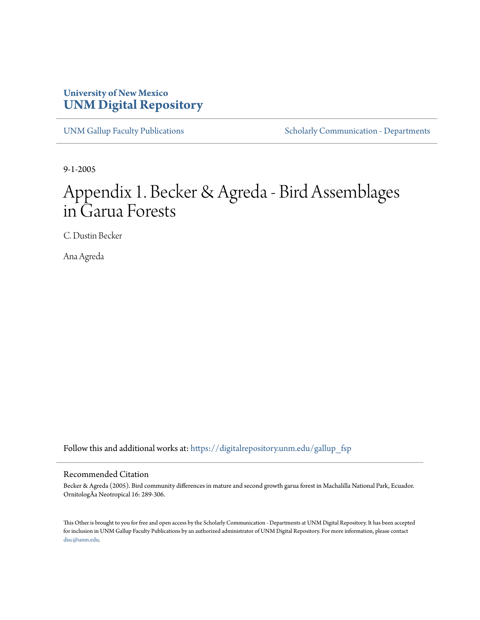## **University of New Mexico [UNM Digital Repository](https://digitalrepository.unm.edu?utm_source=digitalrepository.unm.edu%2Fgallup_fsp%2F1&utm_medium=PDF&utm_campaign=PDFCoverPages)**

[UNM Gallup Faculty Publications](https://digitalrepository.unm.edu/gallup_fsp?utm_source=digitalrepository.unm.edu%2Fgallup_fsp%2F1&utm_medium=PDF&utm_campaign=PDFCoverPages) [Scholarly Communication - Departments](https://digitalrepository.unm.edu/departments?utm_source=digitalrepository.unm.edu%2Fgallup_fsp%2F1&utm_medium=PDF&utm_campaign=PDFCoverPages)

9-1-2005

# Appendix 1. Becker & Agreda - Bird Assemblages in Garua Forests

C. Dustin Becker

Ana Agreda

Follow this and additional works at: [https://digitalrepository.unm.edu/gallup\\_fsp](https://digitalrepository.unm.edu/gallup_fsp?utm_source=digitalrepository.unm.edu%2Fgallup_fsp%2F1&utm_medium=PDF&utm_campaign=PDFCoverPages)

#### Recommended Citation

Becker & Agreda (2005). Bird community differences in mature and second growth garua forest in Machalilla National Park, Ecuador. OrnitologÃa Neotropical 16: 289-306.

This Other is brought to you for free and open access by the Scholarly Communication - Departments at UNM Digital Repository. It has been accepted for inclusion in UNM Gallup Faculty Publications by an authorized administrator of UNM Digital Repository. For more information, please contact [disc@unm.edu](mailto:disc@unm.edu).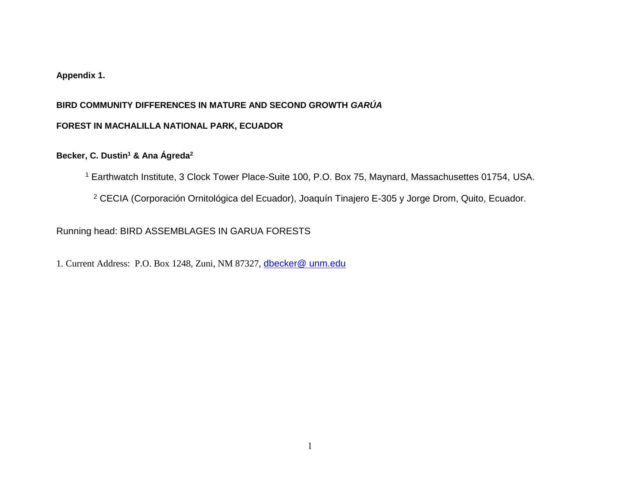#### **Appendix 1.**

#### **BIRD COMMUNITY DIFFERENCES IN MATURE AND SECOND GROWTH** *GARÚA*

#### **FOREST IN MACHALILLA NATIONAL PARK, ECUADOR**

#### **Becker, C. Dustin<sup>1</sup> & Ana Ágreda<sup>2</sup>**

<sup>1</sup> Earthwatch Institute, 3 Clock Tower Place-Suite 100, P.O. Box 75, Maynard, Massachusettes 01754, USA.

<sup>2</sup> CECIA (Corporación Ornitológica del Ecuador), Joaquín Tinajero E-305 y Jorge Drom, Quito, Ecuador.

### Running head: BIRD ASSEMBLAGES IN GARUA FORESTS

1. Current Address: P.O. Box 1248, Zuni, NM 87327, [dbecker@ unm.edu](mailto:dbecker@%20unm.edu)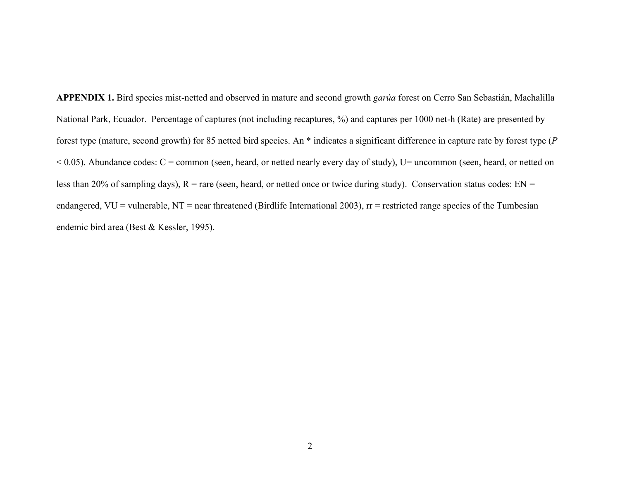APPENDIX 1. Bird species mist-netted and observed in mature and second growth *garúa* forest on Cerro San Sebastián, Machalilla National Park, Ecuador. Percentage of captures (not including recaptures, %) and captures per 1000 net-h (Rate) are presented by forest type (mature, second growth) for 85 netted bird species. An \* indicates a significant difference in capture rate by forest type (*P*  $<$  0.05). Abundance codes: C = common (seen, heard, or netted nearly every day of study), U= uncommon (seen, heard, or netted on less than 20% of sampling days),  $R =$ rare (seen, heard, or netted once or twice during study). Conservation status codes:  $EN =$ endangered,  $VU =$  vulnerable,  $NT =$  near threatened (Birdlife International 2003),  $rr =$  restricted range species of the Tumbesian endemic bird area (Best & Kessler, 1995).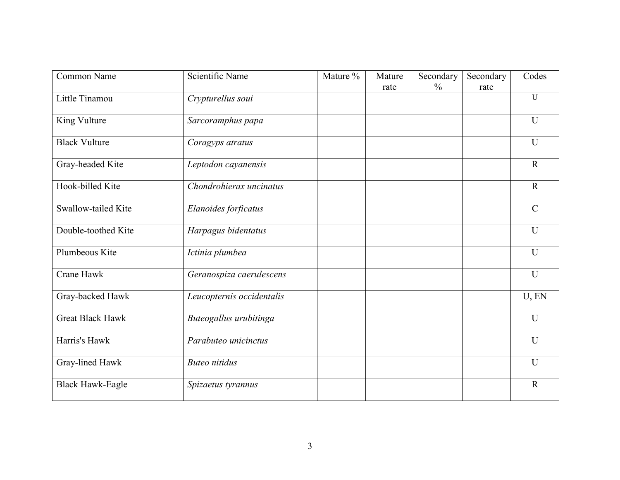| Common Name             | Scientific Name           | Mature % | Mature | Secondary     | Secondary | Codes          |
|-------------------------|---------------------------|----------|--------|---------------|-----------|----------------|
|                         |                           |          | rate   | $\frac{0}{0}$ | rate      |                |
| Little Tinamou          | Crypturellus soui         |          |        |               |           | $\overline{U}$ |
| King Vulture            | Sarcoramphus papa         |          |        |               |           | $\mathbf U$    |
| <b>Black Vulture</b>    | Coragyps atratus          |          |        |               |           | $\mathbf U$    |
| Gray-headed Kite        | Leptodon cayanensis       |          |        |               |           | $\mathbf R$    |
| Hook-billed Kite        | Chondrohierax uncinatus   |          |        |               |           | $\mathbf R$    |
| Swallow-tailed Kite     | Elanoides forficatus      |          |        |               |           | $\mathcal{C}$  |
| Double-toothed Kite     | Harpagus bidentatus       |          |        |               |           | U              |
| Plumbeous Kite          | Ictinia plumbea           |          |        |               |           | $\mathbf U$    |
| Crane Hawk              | Geranospiza caerulescens  |          |        |               |           | U              |
| Gray-backed Hawk        | Leucopternis occidentalis |          |        |               |           | U, EN          |
| <b>Great Black Hawk</b> | Buteogallus urubitinga    |          |        |               |           | U              |
| Harris's Hawk           | Parabuteo unicinctus      |          |        |               |           | U              |
| Gray-lined Hawk         | <b>Buteo</b> nitidus      |          |        |               |           | U              |
| <b>Black Hawk-Eagle</b> | Spizaetus tyrannus        |          |        |               |           | $\mathbf R$    |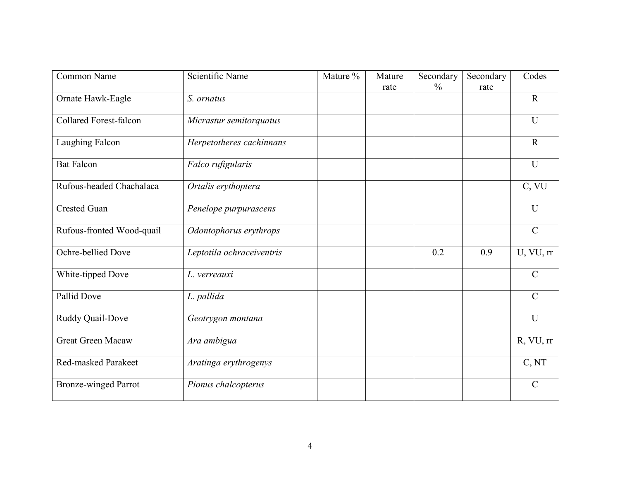| Common Name                   | Scientific Name           | Mature % | Mature | Secondary     | Secondary | Codes         |
|-------------------------------|---------------------------|----------|--------|---------------|-----------|---------------|
|                               |                           |          | rate   | $\frac{0}{0}$ | rate      |               |
| Ornate Hawk-Eagle             | S. ornatus                |          |        |               |           | $\mathbf R$   |
| <b>Collared Forest-falcon</b> | Micrastur semitorquatus   |          |        |               |           | U             |
| Laughing Falcon               | Herpetotheres cachinnans  |          |        |               |           | $\mathbf R$   |
| <b>Bat Falcon</b>             | Falco rufigularis         |          |        |               |           | $\mathbf{U}$  |
| Rufous-headed Chachalaca      | Ortalis erythoptera       |          |        |               |           | C, VU         |
| <b>Crested Guan</b>           | Penelope purpurascens     |          |        |               |           | U             |
| Rufous-fronted Wood-quail     | Odontophorus erythrops    |          |        |               |           | $\mathcal{C}$ |
| Ochre-bellied Dove            | Leptotila ochraceiventris |          |        | 0.2           | 0.9       | U, VU, rr     |
| White-tipped Dove             | L. verreauxi              |          |        |               |           | $\mathcal{C}$ |
| Pallid Dove                   | L. pallida                |          |        |               |           | $\mathcal{C}$ |
| Ruddy Quail-Dove              | Geotrygon montana         |          |        |               |           | U             |
| Great Green Macaw             | Ara ambigua               |          |        |               |           | R, VU, rr     |
| Red-masked Parakeet           | Aratinga erythrogenys     |          |        |               |           | C, NT         |
| <b>Bronze-winged Parrot</b>   | Pionus chalcopterus       |          |        |               |           | $\mathcal{C}$ |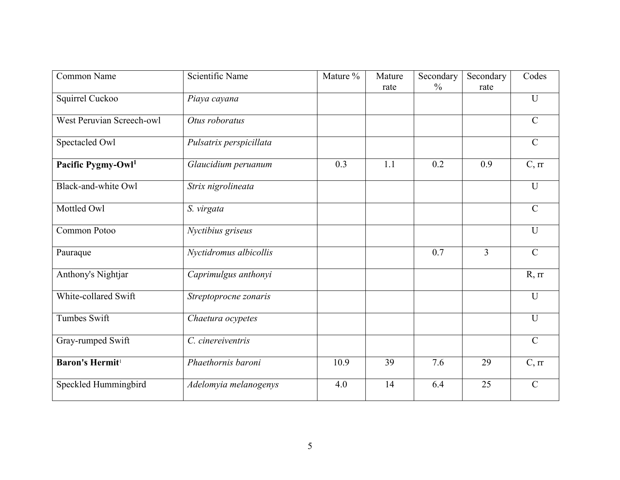| Common Name                        | Scientific Name         | Mature % | Mature | Secondary     | Secondary      | Codes          |
|------------------------------------|-------------------------|----------|--------|---------------|----------------|----------------|
|                                    |                         |          | rate   | $\frac{0}{0}$ | rate           |                |
| Squirrel Cuckoo                    | Piaya cayana            |          |        |               |                | U              |
| West Peruvian Screech-owl          | Otus roboratus          |          |        |               |                | $\mathcal{C}$  |
| Spectacled Owl                     | Pulsatrix perspicillata |          |        |               |                | $\mathcal{C}$  |
| Pacific Pygmy-Owl <sup>1</sup>     | Glaucidium peruanum     | 0.3      | 1.1    | 0.2           | 0.9            | C, rr          |
| Black-and-white Owl                | Strix nigrolineata      |          |        |               |                | U              |
| Mottled Owl                        | S. virgata              |          |        |               |                | $\mathcal{C}$  |
| Common Potoo                       | Nyctibius griseus       |          |        |               |                | U              |
| Pauraque                           | Nyctidromus albicollis  |          |        | 0.7           | $\overline{3}$ | $\mathcal{C}$  |
| Anthony's Nightjar                 | Caprimulgus anthonyi    |          |        |               |                | R, rr          |
| White-collared Swift               | Streptoprocne zonaris   |          |        |               |                | $\overline{U}$ |
| <b>Tumbes Swift</b>                | Chaetura ocypetes       |          |        |               |                | $\overline{U}$ |
| Gray-rumped Swift                  | C. cinereiventris       |          |        |               |                | $\mathcal{C}$  |
| <b>Baron's Hermit</b> <sup>1</sup> | Phaethornis baroni      | 10.9     | 39     | 7.6           | 29             | C, rr          |
| Speckled Hummingbird               | Adelomyia melanogenys   | 4.0      | 14     | 6.4           | 25             | $\overline{C}$ |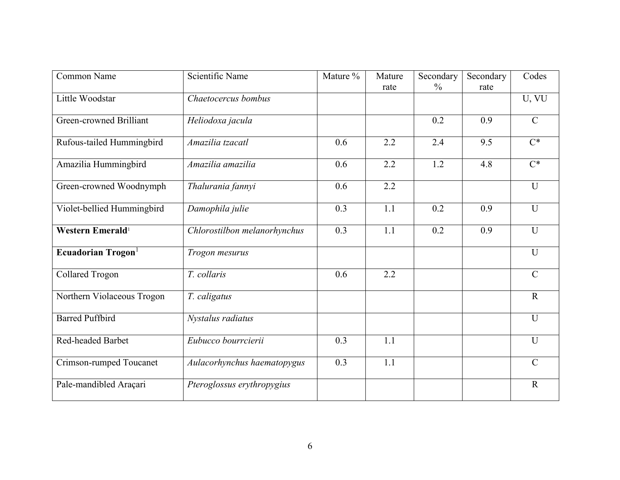| Common Name                    | Scientific Name              | Mature % | Mature | Secondary     | Secondary | Codes         |
|--------------------------------|------------------------------|----------|--------|---------------|-----------|---------------|
|                                |                              |          | rate   | $\frac{0}{0}$ | rate      |               |
| Little Woodstar                | Chaetocercus bombus          |          |        |               |           | U, VU         |
| Green-crowned Brilliant        | Heliodoxa jacula             |          |        | 0.2           | 0.9       | $\mathbf C$   |
| Rufous-tailed Hummingbird      | Amazilia tzacatl             | 0.6      | 2.2    | 2.4           | 9.5       | $C^*$         |
| Amazilia Hummingbird           | Amazilia amazilia            | 0.6      | 2.2    | 1.2           | 4.8       | $C^*$         |
| Green-crowned Woodnymph        | Thalurania fannyi            | 0.6      | 2.2    |               |           | $\mathbf U$   |
| Violet-bellied Hummingbird     | Damophila julie              | 0.3      | 1.1    | 0.2           | 0.9       | $\mathbf U$   |
| Western Emerald <sup>1</sup>   | Chlorostilbon melanorhynchus | 0.3      | 1.1    | 0.2           | 0.9       | $\mathbf U$   |
| Ecuadorian Trogon <sup>1</sup> | Trogon mesurus               |          |        |               |           | $\mathbf U$   |
| <b>Collared Trogon</b>         | T. collaris                  | 0.6      | 2.2    |               |           | $\mathbf C$   |
| Northern Violaceous Trogon     | T. caligatus                 |          |        |               |           | $\mathbf R$   |
| <b>Barred Puffbird</b>         | Nystalus radiatus            |          |        |               |           | U             |
| Red-headed Barbet              | Eubucco bourrcierii          | 0.3      | 1.1    |               |           | $\mathbf{U}$  |
| Crimson-rumped Toucanet        | Aulacorhynchus haematopygus  | 0.3      | 1.1    |               |           | $\mathcal{C}$ |
| Pale-mandibled Araçari         | Pteroglossus erythropygius   |          |        |               |           | $\mathbf R$   |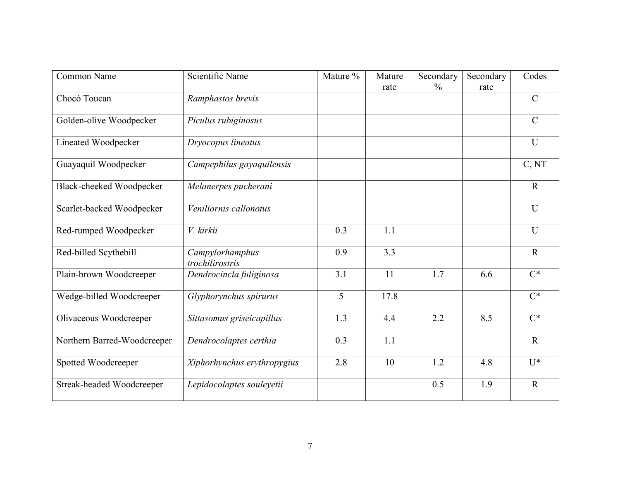| Common Name                 | Scientific Name                    | Mature % | Mature | Secondary     | Secondary | Codes            |
|-----------------------------|------------------------------------|----------|--------|---------------|-----------|------------------|
|                             |                                    |          | rate   | $\frac{0}{0}$ | rate      |                  |
| Chocó Toucan                | Ramphastos brevis                  |          |        |               |           | $\mathcal{C}$    |
| Golden-olive Woodpecker     | Piculus rubiginosus                |          |        |               |           | $\mathcal{C}$    |
| Lineated Woodpecker         | Dryocopus lineatus                 |          |        |               |           | $\mathbf{U}$     |
| Guayaquil Woodpecker        | Campephilus gayaquilensis          |          |        |               |           | C, NT            |
| Black-cheeked Woodpecker    | Melanerpes pucherani               |          |        |               |           | $\mathbf R$      |
| Scarlet-backed Woodpecker   | Veniliornis callonotus             |          |        |               |           | U                |
| Red-rumped Woodpecker       | V. kirkii                          | 0.3      | 1.1    |               |           | U                |
| Red-billed Scythebill       | Campylorhamphus<br>trochilirostris | 0.9      | 3.3    |               |           | $\mathbf R$      |
| Plain-brown Woodcreeper     | Dendrocincla fuliginosa            | 3.1      | 11     | 1.7           | 6.6       | $\overline{C^*}$ |
| Wedge-billed Woodcreeper    | Glyphorynchus spirurus             | 5        | 17.8   |               |           | $\overline{C^*}$ |
| Olivaceous Woodcreeper      | Sittasomus griseicapillus          | 1.3      | 4.4    | 2.2           | 8.5       | $\overline{C^*}$ |
| Northern Barred-Woodcreeper | Dendrocolaptes certhia             | 0.3      | 1.1    |               |           | $\mathbf R$      |
| Spotted Woodcreeper         | Xiphorhynchus erythropygius        | 2.8      | 10     | 1.2           | 4.8       | $U^*$            |
| Streak-headed Woodcreeper   | Lepidocolaptes souleyetii          |          |        | 0.5           | 1.9       | $\mathbf R$      |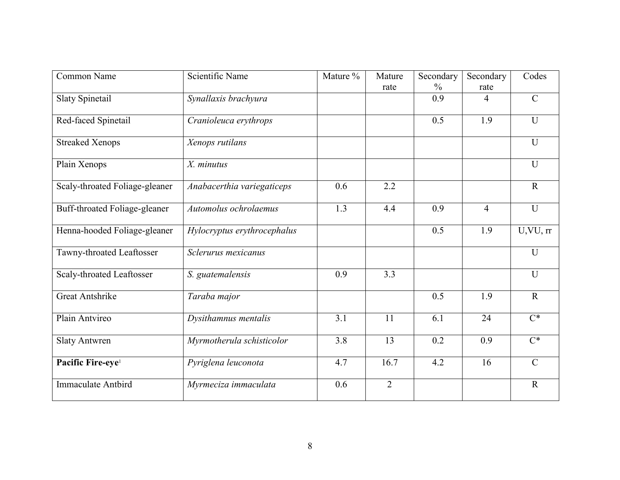| Common Name                      | Scientific Name             | Mature % | Mature         | Secondary     | Secondary      | Codes                  |
|----------------------------------|-----------------------------|----------|----------------|---------------|----------------|------------------------|
|                                  |                             |          | rate           | $\frac{0}{0}$ | rate           |                        |
| <b>Slaty Spinetail</b>           | Synallaxis brachyura        |          |                | 0.9           | 4              | $\mathcal{C}$          |
| Red-faced Spinetail              | Cranioleuca erythrops       |          |                | 0.5           | 1.9            | $\mathbf{U}$           |
| <b>Streaked Xenops</b>           | Xenops rutilans             |          |                |               |                | U                      |
| Plain Xenops                     | X. minutus                  |          |                |               |                | U                      |
| Scaly-throated Foliage-gleaner   | Anabacerthia variegaticeps  | 0.6      | 2.2            |               |                | $\mathbf R$            |
| Buff-throated Foliage-gleaner    | Automolus ochrolaemus       | 1.3      | 4.4            | 0.9           | $\overline{4}$ | U                      |
| Henna-hooded Foliage-gleaner     | Hylocryptus erythrocephalus |          |                | 0.5           | 1.9            | $\overline{U,VU}$ , rr |
| Tawny-throated Leaftosser        | Sclerurus mexicanus         |          |                |               |                | U                      |
| <b>Scaly-throated Leaftosser</b> | S. guatemalensis            | 0.9      | 3.3            |               |                | $\overline{U}$         |
| <b>Great Antshrike</b>           | Taraba major                |          |                | 0.5           | 1.9            | $\mathbf R$            |
| Plain Antvireo                   | Dysithamnus mentalis        | 3.1      | 11             | 6.1           | 24             | $\overline{C^*}$       |
| <b>Slaty Antwren</b>             | Myrmotherula schisticolor   | 3.8      | 13             | 0.2           | 0.9            | $C^*$                  |
| Pacific Fire-eye <sup>1</sup>    | Pyriglena leuconota         | 4.7      | 16.7           | 4.2           | 16             | $\mathcal{C}$          |
| Immaculate Antbird               | Myrmeciza immaculata        | 0.6      | $\overline{2}$ |               |                | $\mathbf R$            |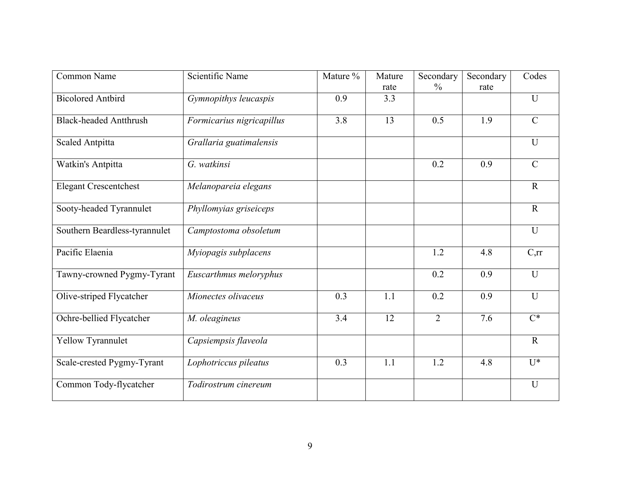| Common Name                   | Scientific Name           | Mature % | Mature | Secondary      | Secondary | Codes            |
|-------------------------------|---------------------------|----------|--------|----------------|-----------|------------------|
|                               |                           |          | rate   | $\frac{0}{0}$  | rate      |                  |
| <b>Bicolored Antbird</b>      | Gymnopithys leucaspis     | 0.9      | 3.3    |                |           | U                |
| <b>Black-headed Antthrush</b> | Formicarius nigricapillus | 3.8      | 13     | 0.5            | 1.9       | $\mathcal{C}$    |
| Scaled Antpitta               | Grallaria guatimalensis   |          |        |                |           | $\mathbf{U}$     |
| Watkin's Antpitta             | G. watkinsi               |          |        | 0.2            | 0.9       | $\mathcal{C}$    |
| <b>Elegant Crescentchest</b>  | Melanopareia elegans      |          |        |                |           | $\mathbf R$      |
| Sooty-headed Tyrannulet       | Phyllomyias griseiceps    |          |        |                |           | $\mathbf R$      |
| Southern Beardless-tyrannulet | Camptostoma obsoletum     |          |        |                |           | U                |
| Pacific Elaenia               | Myiopagis subplacens      |          |        | 1.2            | 4.8       | C,rr             |
| Tawny-crowned Pygmy-Tyrant    | Euscarthmus meloryphus    |          |        | 0.2            | 0.9       | $\mathbf{U}$     |
| Olive-striped Flycatcher      | Mionectes olivaceus       | 0.3      | 1.1    | 0.2            | 0.9       | $\mathbf{U}$     |
| Ochre-bellied Flycatcher      | M. oleagineus             | 3.4      | 12     | $\overline{2}$ | 7.6       | $\overline{C^*}$ |
| Yellow Tyrannulet             | Capsiempsis flaveola      |          |        |                |           | $\mathbf R$      |
| Scale-crested Pygmy-Tyrant    | Lophotriccus pileatus     | 0.3      | 1.1    | 1.2            | 4.8       | $U^*$            |
| Common Tody-flycatcher        | Todirostrum cinereum      |          |        |                |           | $\mathbf U$      |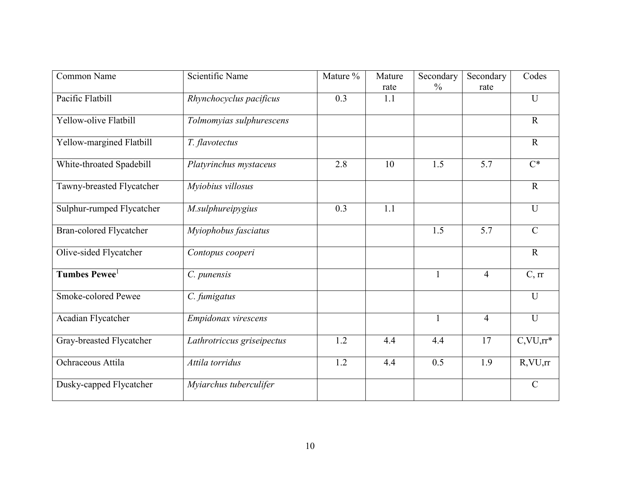| Common Name                    | Scientific Name            | Mature % | Mature | Secondary     | Secondary        | Codes          |
|--------------------------------|----------------------------|----------|--------|---------------|------------------|----------------|
|                                |                            |          | rate   | $\frac{0}{0}$ | rate             |                |
| Pacific Flatbill               | Rhynchocyclus pacificus    | 0.3      | 1.1    |               |                  | U              |
| Yellow-olive Flatbill          | Tolmomyias sulphurescens   |          |        |               |                  | $\mathbf{R}$   |
| Yellow-margined Flatbill       | T. flavotectus             |          |        |               |                  | $\mathbf R$    |
| White-throated Spadebill       | Platyrinchus mystaceus     | 2.8      | 10     | 1.5           | 5.7              | $C^*$          |
| Tawny-breasted Flycatcher      | Myiobius villosus          |          |        |               |                  | $\mathbf R$    |
| Sulphur-rumped Flycatcher      | M.sulphureipygius          | 0.3      | 1.1    |               |                  | U              |
| <b>Bran-colored Flycatcher</b> | Myiophobus fasciatus       |          |        | 1.5           | $\overline{5.7}$ | $\overline{C}$ |
| Olive-sided Flycatcher         | Contopus cooperi           |          |        |               |                  | $\mathbf R$    |
| Tumbes Pewee <sup>1</sup>      | C. punensis                |          |        | $\mathbf{1}$  | $\overline{4}$   | C, rr          |
| Smoke-colored Pewee            | C. fumigatus               |          |        |               |                  | $\overline{U}$ |
| Acadian Flycatcher             | Empidonax virescens        |          |        | $\mathbf{1}$  | $\overline{4}$   | U              |
| Gray-breasted Flycatcher       | Lathrotriccus griseipectus | 1.2      | 4.4    | 4.4           | 17               | $C, VU, rr^*$  |
| Ochraceous Attila              | Attila torridus            | 1.2      | 4.4    | 0.5           | 1.9              | $R$ , VU, rr   |
| Dusky-capped Flycatcher        | Myiarchus tuberculifer     |          |        |               |                  | $\mathcal{C}$  |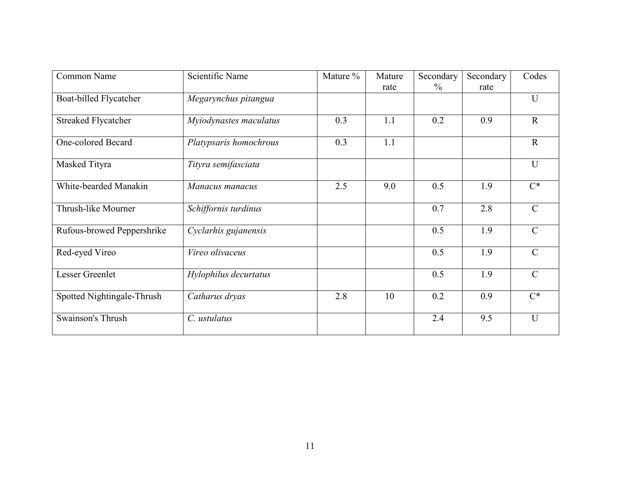| Common Name                | Scientific Name        | Mature % | Mature<br>rate | Secondary<br>$\%$ | Secondary<br>rate | Codes         |
|----------------------------|------------------------|----------|----------------|-------------------|-------------------|---------------|
| Boat-billed Flycatcher     | Megarynchus pitangua   |          |                |                   |                   | $\mathbf{U}$  |
| <b>Streaked Flycatcher</b> | Myiodynastes maculatus | 0.3      | 1.1            | 0.2               | 0.9               | $\mathbf R$   |
| One-colored Becard         | Platypsaris homochrous | 0.3      | 1.1            |                   |                   | $\mathbf{R}$  |
| Masked Tityra              | Tityra semifasciata    |          |                |                   |                   | $\mathbf{U}$  |
| White-bearded Manakin      | Manacus manacus        | 2.5      | 9.0            | 0.5               | 1.9               | $C^*$         |
| Thrush-like Mourner        | Schiffornis turdinus   |          |                | 0.7               | 2.8               | $\mathcal{C}$ |
| Rufous-browed Peppershrike | Cyclarhis gujanensis   |          |                | 0.5               | 1.9               | $\mathcal{C}$ |
| Red-eyed Vireo             | Vireo olivaceus        |          |                | 0.5               | 1.9               | $\mathcal{C}$ |
| Lesser Greenlet            | Hylophilus decurtatus  |          |                | 0.5               | 1.9               | $\mathcal{C}$ |
| Spotted Nightingale-Thrush | Catharus dryas         | 2.8      | 10             | 0.2               | 0.9               | $C^*$         |
| Swainson's Thrush          | C. ustulatus           |          |                | 2.4               | 9.5               | $\mathbf{U}$  |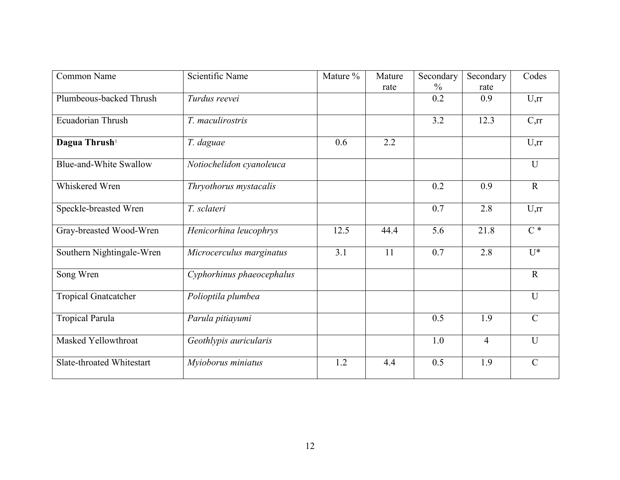| Common Name                   | Scientific Name           | Mature % | Mature<br>rate | Secondary<br>$\%$ | Secondary<br>rate | Codes            |
|-------------------------------|---------------------------|----------|----------------|-------------------|-------------------|------------------|
| Plumbeous-backed Thrush       | Turdus reevei             |          |                | 0.2               | 0.9               | U,rr             |
| Ecuadorian Thrush             | T. maculirostris          |          |                | 3.2               | 12.3              | C,rr             |
| Dagua Thrush <sup>1</sup>     | T. daguae                 | 0.6      | 2.2            |                   |                   | U,rr             |
| <b>Blue-and-White Swallow</b> | Notiochelidon cyanoleuca  |          |                |                   |                   | U                |
| Whiskered Wren                | Thryothorus mystacalis    |          |                | 0.2               | 0.9               | $\mathbf{R}$     |
| Speckle-breasted Wren         | T. sclateri               |          |                | 0.7               | 2.8               | U,rr             |
| Gray-breasted Wood-Wren       | Henicorhina leucophrys    | 12.5     | 44.4           | 5.6               | 21.8              | $\overline{C^*}$ |
| Southern Nightingale-Wren     | Microcerculus marginatus  | 3.1      | 11             | 0.7               | 2.8               | $\overline{U^*}$ |
| Song Wren                     | Cyphorhinus phaeocephalus |          |                |                   |                   | $\mathbf R$      |
| <b>Tropical Gnatcatcher</b>   | Polioptila plumbea        |          |                |                   |                   | $\overline{U}$   |
| <b>Tropical Parula</b>        | Parula pitiayumi          |          |                | 0.5               | 1.9               | $\mathcal{C}$    |
| Masked Yellowthroat           | Geothlypis auricularis    |          |                | 1.0               | $\overline{4}$    | $\mathbf U$      |
| Slate-throated Whitestart     | Myioborus miniatus        | 1.2      | 4.4            | 0.5               | 1.9               | $\mathcal{C}$    |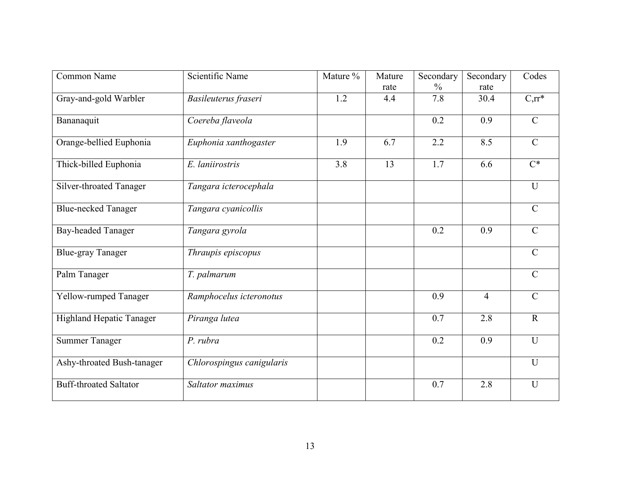| Common Name                     | Scientific Name           | Mature % | Mature | Secondary     | Secondary      | Codes               |
|---------------------------------|---------------------------|----------|--------|---------------|----------------|---------------------|
|                                 |                           |          | rate   | $\frac{0}{0}$ | rate           |                     |
| Gray-and-gold Warbler           | Basileuterus fraseri      | 1.2      | 4.4    | 7.8           | 30.4           | $\overline{C,rr^*}$ |
| Bananaquit                      | Coereba flaveola          |          |        | 0.2           | 0.9            | $\mathcal{C}$       |
| Orange-bellied Euphonia         | Euphonia xanthogaster     | 1.9      | 6.7    | 2.2           | 8.5            | $\mathcal{C}$       |
| Thick-billed Euphonia           | E. laniirostris           | 3.8      | 13     | 1.7           | 6.6            | $C^*$               |
| Silver-throated Tanager         | Tangara icterocephala     |          |        |               |                | U                   |
| <b>Blue-necked Tanager</b>      | Tangara cyanicollis       |          |        |               |                | $\mathcal{C}$       |
| <b>Bay-headed Tanager</b>       | Tangara gyrola            |          |        | 0.2           | 0.9            | $\mathcal{C}$       |
| <b>Blue-gray Tanager</b>        | Thraupis episcopus        |          |        |               |                | $\mathbf C$         |
| Palm Tanager                    | T. palmarum               |          |        |               |                | $\mathcal{C}$       |
| Yellow-rumped Tanager           | Ramphocelus icteronotus   |          |        | 0.9           | $\overline{4}$ | $\mathcal{C}$       |
| <b>Highland Hepatic Tanager</b> | Piranga lutea             |          |        | 0.7           | 2.8            | $\mathbf R$         |
| <b>Summer Tanager</b>           | P. rubra                  |          |        | 0.2           | 0.9            | U                   |
| Ashy-throated Bush-tanager      | Chlorospingus canigularis |          |        |               |                | U                   |
| <b>Buff-throated Saltator</b>   | Saltator maximus          |          |        | 0.7           | 2.8            | U                   |